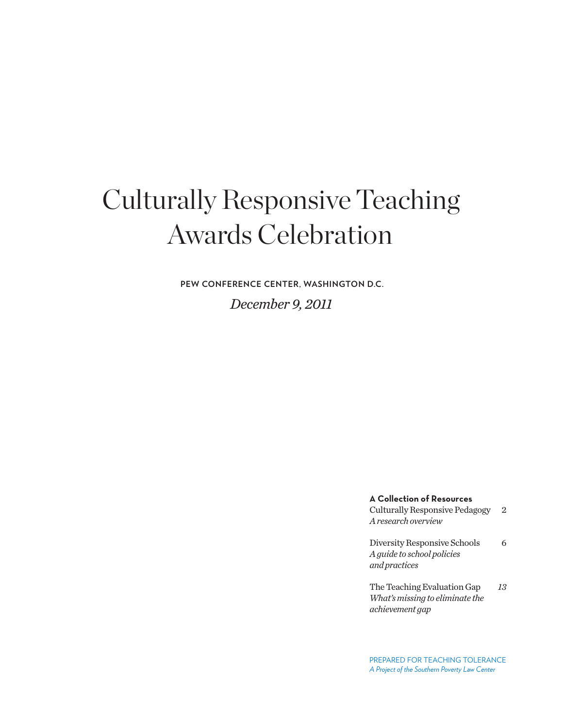# Culturally Responsive Teaching Awards Celebration

**PEW CONFERENCE CENTER, WASHINGTON D.C.**

*December 9, 2011*

**A Collection of Resources** Culturally Responsive Pedagogy 2

*A research overview*

Diversity Responsive Schools 6 *A guide to school policies and practices*

The Teaching Evaluation Gap *13 What's missing to eliminate the achievement gap*

PREPARED FOR TEACHING TOLERANCE *A Project of the Southern Poverty Law Center*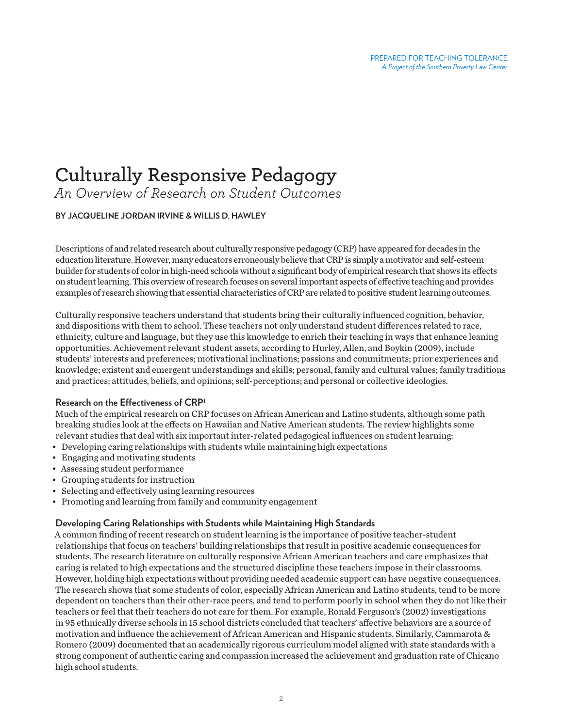# **Culturally Responsive Pedagogy**

*An Overview of Research on Student Outcomes*

# **BY JACQUELINE JORDAN IRVINE & WILLIS D. HAWLEY**

Descriptions of and related research about culturally responsive pedagogy (CRP) have appeared for decades in the education literature. However, many educators erroneously believe that CRP is simply a motivator and self-esteem builder for students of color in high-need schools without a significant body of empirical research that shows its effects on student learning. This overview of research focuses on several important aspects of effective teaching and provides examples of research showing that essential characteristics of CRP are related to positive student learning outcomes.

Culturally responsive teachers understand that students bring their culturally influenced cognition, behavior, and dispositions with them to school. These teachers not only understand student differences related to race, ethnicity, culture and language, but they use this knowledge to enrich their teaching in ways that enhance leaning opportunities. Achievement relevant student assets, according to Hurley, Allen, and Boykin (2009), include students' interests and preferences; motivational inclinations; passions and commitments; prior experiences and knowledge; existent and emergent understandings and skills; personal, family and cultural values; family traditions and practices; attitudes, beliefs, and opinions; self-perceptions; and personal or collective ideologies.

#### **Research on the Effectiveness of CRP<sup>1</sup>**

Much of the empirical research on CRP focuses on African American and Latino students, although some path breaking studies look at the effects on Hawaiian and Native American students. The review highlights some relevant studies that deal with six important inter-related pedagogical influences on student learning:

- Developing caring relationships with students while maintaining high expectations
- Engaging and motivating students
- Assessing student performance
- Grouping students for instruction
- Selecting and effectively using learning resources
- Promoting and learning from family and community engagement

# **Developing Caring Relationships with Students while Maintaining High Standards**

A common finding of recent research on student learning is the importance of positive teacher-student relationships that focus on teachers' building relationships that result in positive academic consequences for students. The research literature on culturally responsive African American teachers and care emphasizes that caring is related to high expectations and the structured discipline these teachers impose in their classrooms. However, holding high expectations without providing needed academic support can have negative consequences. The research shows that some students of color, especially African American and Latino students, tend to be more dependent on teachers than their other-race peers, and tend to perform poorly in school when they do not like their teachers or feel that their teachers do not care for them. For example, Ronald Ferguson's (2002) investigations in 95 ethnically diverse schools in 15 school districts concluded that teachers' affective behaviors are a source of motivation and influence the achievement of African American and Hispanic students. Similarly, Cammarota & Romero (2009) documented that an academically rigorous curriculum model aligned with state standards with a strong component of authentic caring and compassion increased the achievement and graduation rate of Chicano high school students.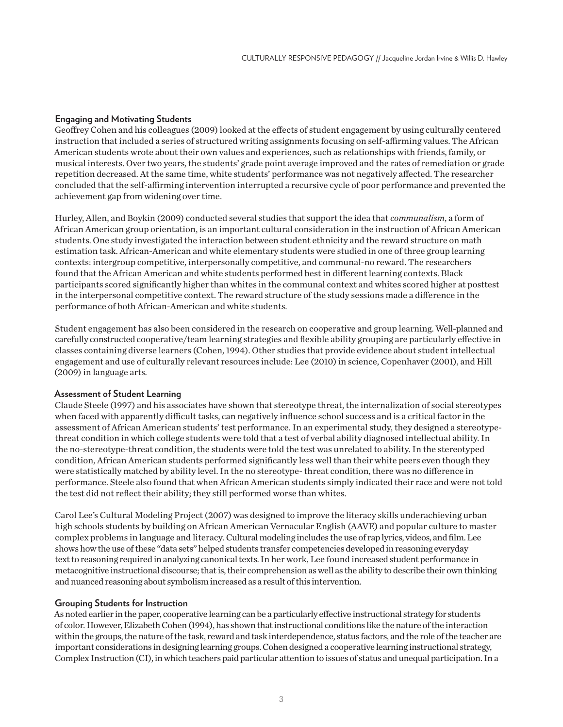### **Engaging and Motivating Students**

Geoffrey Cohen and his colleagues (2009) looked at the effects of student engagement by using culturally centered instruction that included a series of structured writing assignments focusing on self-affirming values. The African American students wrote about their own values and experiences, such as relationships with friends, family, or musical interests. Over two years, the students' grade point average improved and the rates of remediation or grade repetition decreased. At the same time, white students' performance was not negatively affected. The researcher concluded that the self-affirming intervention interrupted a recursive cycle of poor performance and prevented the achievement gap from widening over time.

Hurley, Allen, and Boykin (2009) conducted several studies that support the idea that *communalism*, a form of African American group orientation, is an important cultural consideration in the instruction of African American students. One study investigated the interaction between student ethnicity and the reward structure on math estimation task. African-American and white elementary students were studied in one of three group learning contexts: intergroup competitive, interpersonally competitive, and communal-no reward. The researchers found that the African American and white students performed best in different learning contexts. Black participants scored significantly higher than whites in the communal context and whites scored higher at posttest in the interpersonal competitive context. The reward structure of the study sessions made a difference in the performance of both African-American and white students.

Student engagement has also been considered in the research on cooperative and group learning. Well-planned and carefully constructed cooperative/team learning strategies and flexible ability grouping are particularly effective in classes containing diverse learners (Cohen, 1994). Other studies that provide evidence about student intellectual engagement and use of culturally relevant resources include: Lee (2010) in science, Copenhaver (2001), and Hill (2009) in language arts.

#### **Assessment of Student Learning**

Claude Steele (1997) and his associates have shown that stereotype threat, the internalization of social stereotypes when faced with apparently difficult tasks, can negatively influence school success and is a critical factor in the assessment of African American students' test performance. In an experimental study, they designed a stereotypethreat condition in which college students were told that a test of verbal ability diagnosed intellectual ability. In the no-stereotype-threat condition, the students were told the test was unrelated to ability. In the stereotyped condition, African American students performed significantly less well than their white peers even though they were statistically matched by ability level. In the no stereotype- threat condition, there was no difference in performance. Steele also found that when African American students simply indicated their race and were not told the test did not reflect their ability; they still performed worse than whites.

Carol Lee's Cultural Modeling Project (2007) was designed to improve the literacy skills underachieving urban high schools students by building on African American Vernacular English (AAVE) and popular culture to master complex problems in language and literacy. Cultural modeling includes the use of rap lyrics, videos, and film. Lee shows how the use of these "data sets" helped students transfer competencies developed in reasoning everyday text to reasoning required in analyzing canonical texts. In her work, Lee found increased student performance in metacognitive instructional discourse; that is, their comprehension as well as the ability to describe their own thinking and nuanced reasoning about symbolism increased as a result of this intervention.

#### **Grouping Students for Instruction**

As noted earlier in the paper, cooperative learning can be a particularly effective instructional strategy for students of color. However, Elizabeth Cohen (1994), has shown that instructional conditions like the nature of the interaction within the groups, the nature of the task, reward and task interdependence, status factors, and the role of the teacher are important considerations in designing learning groups. Cohen designed a cooperative learning instructional strategy, Complex Instruction (CI), in which teachers paid particular attention to issues of status and unequal participation. In a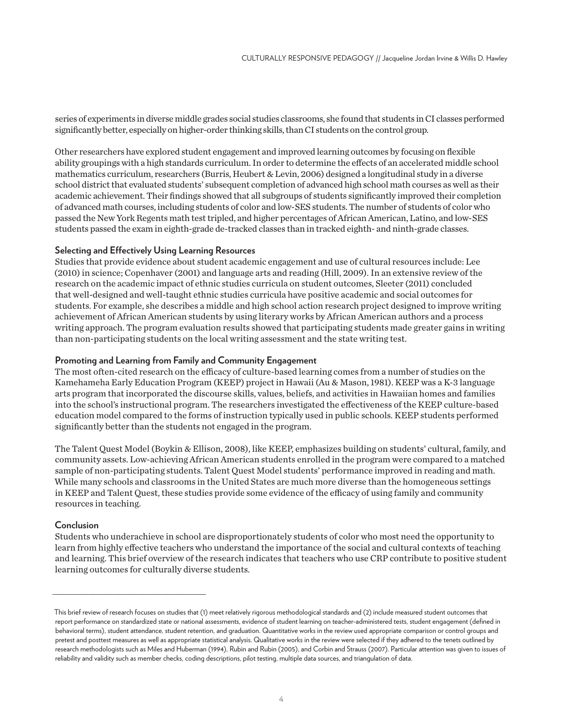series of experiments in diverse middle grades social studies classrooms, she found that students in CI classes performed significantly better, especially on higher-order thinking skills, than CI students on the control group.

Other researchers have explored student engagement and improved learning outcomes by focusing on flexible ability groupings with a high standards curriculum. In order to determine the effects of an accelerated middle school mathematics curriculum, researchers (Burris, Heubert & Levin, 2006) designed a longitudinal study in a diverse school district that evaluated students' subsequent completion of advanced high school math courses as well as their academic achievement. Their findings showed that all subgroups of students significantly improved their completion of advanced math courses, including students of color and low-SES students. The number of students of color who passed the New York Regents math test tripled, and higher percentages of African American, Latino, and low-SES students passed the exam in eighth-grade de-tracked classes than in tracked eighth- and ninth-grade classes.

#### **Selecting and Effectively Using Learning Resources**

Studies that provide evidence about student academic engagement and use of cultural resources include: Lee (2010) in science; Copenhaver (2001) and language arts and reading (Hill, 2009). In an extensive review of the research on the academic impact of ethnic studies curricula on student outcomes, Sleeter (2011) concluded that well-designed and well-taught ethnic studies curricula have positive academic and social outcomes for students. For example, she describes a middle and high school action research project designed to improve writing achievement of African American students by using literary works by African American authors and a process writing approach. The program evaluation results showed that participating students made greater gains in writing than non-participating students on the local writing assessment and the state writing test.

#### **Promoting and Learning from Family and Community Engagement**

The most often-cited research on the efficacy of culture-based learning comes from a number of studies on the Kamehameha Early Education Program (KEEP) project in Hawaii (Au & Mason, 1981). KEEP was a K-3 language arts program that incorporated the discourse skills, values, beliefs, and activities in Hawaiian homes and families into the school's instructional program. The researchers investigated the effectiveness of the KEEP culture-based education model compared to the forms of instruction typically used in public schools. KEEP students performed significantly better than the students not engaged in the program.

The Talent Quest Model (Boykin & Ellison, 2008), like KEEP, emphasizes building on students' cultural, family, and community assets. Low-achieving African American students enrolled in the program were compared to a matched sample of non-participating students. Talent Quest Model students' performance improved in reading and math. While many schools and classrooms in the United States are much more diverse than the homogeneous settings in KEEP and Talent Quest, these studies provide some evidence of the efficacy of using family and community resources in teaching.

#### **Conclusion**

\_\_\_\_\_\_\_\_\_\_\_\_\_\_\_\_\_\_\_\_\_\_\_\_\_\_\_\_\_\_\_\_\_\_\_\_\_\_

Students who underachieve in school are disproportionately students of color who most need the opportunity to learn from highly effective teachers who understand the importance of the social and cultural contexts of teaching and learning. This brief overview of the research indicates that teachers who use CRP contribute to positive student learning outcomes for culturally diverse students.

This brief review of research focuses on studies that (1) meet relatively rigorous methodological standards and (2) include measured student outcomes that report performance on standardized state or national assessments, evidence of student learning on teacher-administered tests, student engagement (defined in behavioral terms), student attendance, student retention, and graduation. Quantitative works in the review used appropriate comparison or control groups and pretest and posttest measures as well as appropriate statistical analysis. Qualitative works in the review were selected if they adhered to the tenets outlined by research methodologists such as Miles and Huberman (1994), Rubin and Rubin (2005), and Corbin and Strauss (2007). Particular attention was given to issues of reliability and validity such as member checks, coding descriptions, pilot testing, multiple data sources, and triangulation of data.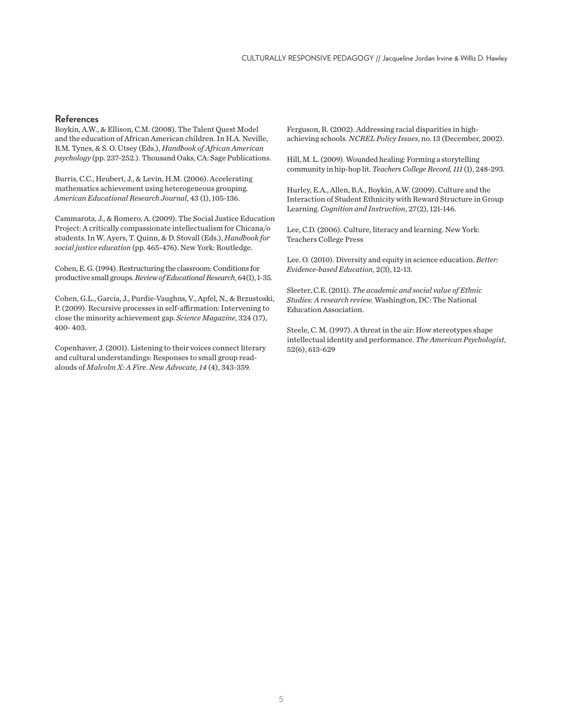#### **References**

Boykin, A.W., & Ellison, C.M. (2008). The Talent Quest Model and the education of African American children. In H.A. Neville, B.M. Tynes, & S. O. Utsey (Eds.), *Handbook of African American psychology* (pp. 237-252.). Thousand Oaks, CA: Sage Publications.

Burris, C.C., Heubert, J., & Levin, H.M. (2006). Accelerating mathematics achievement using heterogeneous grouping. *American Educational Research Journal*, 43 (1), 105-136.

Cammarota, J., & Romero, A. (2009). The Social Justice Education Project: A critically compassionate intellectualism for Chicana/o students. In W. Ayers, T. Quinn, & D. Stovall (Eds.), *Handbook for social justice education* (pp. 465-476). New York: Routledge.

Cohen, E. G. (1994). Restructuring the classroom: Conditions for productive small groups. *Review of Educational Research*, 64(1), 1-35.

Cohen, G.L., Garcia, J., Purdie-Vaughns, V., Apfel, N., & Brzustoski, P. (2009). Recursive processes in self-affirmation: Intervening to close the minority achievement gap. *Science Magazine*, 324 (17), 400- 403.

Copenhaver, J. (2001). Listening to their voices connect literary and cultural understandings: Responses to small group readalouds of *Malcolm X: A Fire*. *New Advocate, 14* (4), 343-359.

Ferguson, R. (2002). Addressing racial disparities in highachieving schools*. NCREL Policy Issues*, no. 13 (December, 2002).

Hill, M. L. (2009). Wounded healing: Forming a storytelling community in hip-hop lit. *Teachers College Record, 111* (1), 248-293.

Hurley, E.A., Allen, B.A., Boykin, A.W. (2009). Culture and the Interaction of Student Ethnicity with Reward Structure in Group Learning. *Cognition and Instruction*, 27(2), 121-146.

Lee, C.D. (2006). Culture, literacy and learning. New York: Teachers College Press

Lee. O. (2010). Diversity and equity in science education. *Better: Evidence-based Education*, 2(3), 12-13.

Sleeter, C.E. (2011). *The academic and social value of Ethnic Studies: A research review.* Washington, DC: The National Education Association.

Steele, C. M. (1997). A threat in the air: How stereotypes shape intellectual identity and performance. *The American Psychologist*, 52(6), 613-629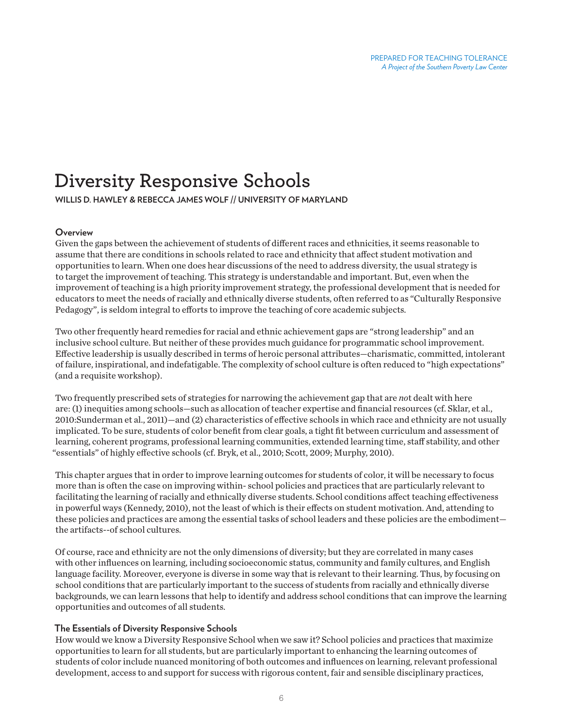# **Diversity Responsive Schools**

**WILLIS D. HAWLEY & REBECCA JAMES WOLF // UNIVERSITY OF MARYLAND**

#### **Overview**

Given the gaps between the achievement of students of different races and ethnicities, it seems reasonable to assume that there are conditions in schools related to race and ethnicity that affect student motivation and opportunities to learn. When one does hear discussions of the need to address diversity, the usual strategy is to target the improvement of teaching. This strategy is understandable and important. But, even when the improvement of teaching is a high priority improvement strategy, the professional development that is needed for educators to meet the needs of racially and ethnically diverse students, often referred to as "Culturally Responsive Pedagogy", is seldom integral to efforts to improve the teaching of core academic subjects.

Two other frequently heard remedies for racial and ethnic achievement gaps are "strong leadership" and an inclusive school culture. But neither of these provides much guidance for programmatic school improvement. Effective leadership is usually described in terms of heroic personal attributes—charismatic, committed, intolerant of failure, inspirational, and indefatigable. The complexity of school culture is often reduced to "high expectations" (and a requisite workshop).

Two frequently prescribed sets of strategies for narrowing the achievement gap that are *no*t dealt with here are: (1) inequities among schools—such as allocation of teacher expertise and financial resources (cf. Sklar, et al., 2010:Sunderman et al., 2011)—and (2) characteristics of effective schools in which race and ethnicity are not usually implicated. To be sure, students of color benefit from clear goals, a tight fit between curriculum and assessment of learning, coherent programs, professional learning communities, extended learning time, staff stability, and other "essentials" of highly effective schools (cf. Bryk, et al., 2010; Scott, 2009; Murphy, 2010).

This chapter argues that in order to improve learning outcomes for students of color, it will be necessary to focus more than is often the case on improving within- school policies and practices that are particularly relevant to facilitating the learning of racially and ethnically diverse students. School conditions affect teaching effectiveness in powerful ways (Kennedy, 2010), not the least of which is their effects on student motivation. And, attending to these policies and practices are among the essential tasks of school leaders and these policies are the embodiment the artifacts--of school cultures.

Of course, race and ethnicity are not the only dimensions of diversity; but they are correlated in many cases with other influences on learning, including socioeconomic status, community and family cultures, and English language facility. Moreover, everyone is diverse in some way that is relevant to their learning. Thus, by focusing on school conditions that are particularly important to the success of students from racially and ethnically diverse backgrounds, we can learn lessons that help to identify and address school conditions that can improve the learning opportunities and outcomes of all students.

#### **The Essentials of Diversity Responsive Schools**

How would we know a Diversity Responsive School when we saw it? School policies and practices that maximize opportunities to learn for all students, but are particularly important to enhancing the learning outcomes of students of color include nuanced monitoring of both outcomes and influences on learning, relevant professional development, access to and support for success with rigorous content, fair and sensible disciplinary practices,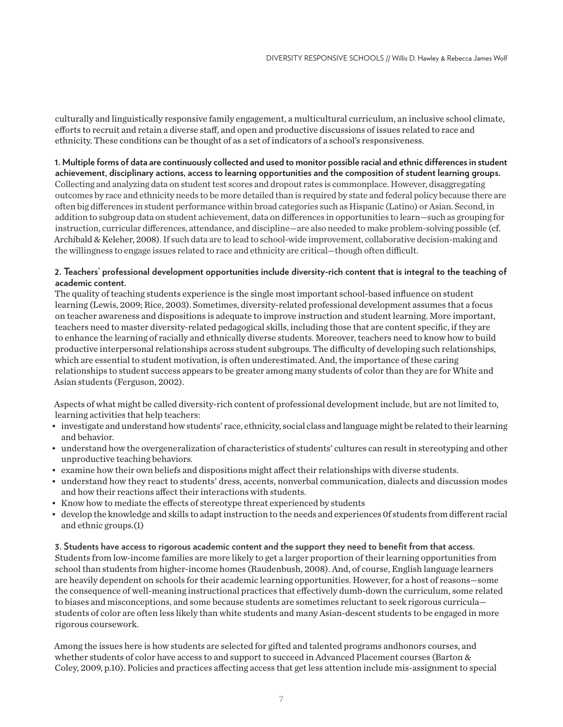culturally and linguistically responsive family engagement, a multicultural curriculum, an inclusive school climate, efforts to recruit and retain a diverse staff, and open and productive discussions of issues related to race and ethnicity. These conditions can be thought of as a set of indicators of a school's responsiveness.

**1. Multiple forms of data are continuously collected and used to monitor possible racial and ethnic differences in student achievement, disciplinary actions, access to learning opportunities and the composition of student learning groups.** Collecting and analyzing data on student test scores and dropout rates is commonplace. However, disaggregating outcomes by race and ethnicity needs to be more detailed than is required by state and federal policy because there are often big differences in student performance within broad categories such as Hispanic (Latino) or Asian. Second, in addition to subgroup data on student achievement, data on differences in opportunities to learn—such as grouping for instruction, curricular differences, attendance, and discipline—are also needed to make problem-solving possible (cf. Archibald & Keleher, 2008). If such data are to lead to school-wide improvement, collaborative decision-making and the willingness to engage issues related to race and ethnicity are critical—though often difficult.

### **2. Teachers' professional development opportunities include diversity-rich content that is integral to the teaching of academic content.**

The quality of teaching students experience is the single most important school-based influence on student learning (Lewis, 2009; Rice, 2003). Sometimes, diversity-related professional development assumes that a focus on teacher awareness and dispositions is adequate to improve instruction and student learning. More important, teachers need to master diversity-related pedagogical skills, including those that are content specific, if they are to enhance the learning of racially and ethnically diverse students. Moreover, teachers need to know how to build productive interpersonal relationships across student subgroups. The difficulty of developing such relationships, which are essential to student motivation, is often underestimated. And, the importance of these caring relationships to student success appears to be greater among many students of color than they are for White and Asian students (Ferguson, 2002).

Aspects of what might be called diversity-rich content of professional development include, but are not limited to, learning activities that help teachers:

- investigate and understand how students' race, ethnicity, social class and language might be related to their learning and behavior.
- understand how the overgeneralization of characteristics of students' cultures can result in stereotyping and other unproductive teaching behaviors.
- examine how their own beliefs and dispositions might affect their relationships with diverse students.
- understand how they react to students' dress, accents, nonverbal communication, dialects and discussion modes and how their reactions affect their interactions with students.
- Know how to mediate the effects of stereotype threat experienced by students
- develop the knowledge and skills to adapt instruction to the needs and experiences 0f students from different racial and ethnic groups.(1)

**3. Students have access to rigorous academic content and the support they need to benefit from that access.** Students from low-income families are more likely to get a larger proportion of their learning opportunities from school than students from higher-income homes (Raudenbush, 2008). And, of course, English language learners are heavily dependent on schools for their academic learning opportunities. However, for a host of reasons—some the consequence of well-meaning instructional practices that effectively dumb-down the curriculum, some related to biases and misconceptions, and some because students are sometimes reluctant to seek rigorous curricula students of color are often less likely than white students and many Asian-descent students to be engaged in more rigorous coursework.

Among the issues here is how students are selected for gifted and talented programs andhonors courses, and whether students of color have access to and support to succeed in Advanced Placement courses (Barton & Coley, 2009, p.10). Policies and practices affecting access that get less attention include mis-assignment to special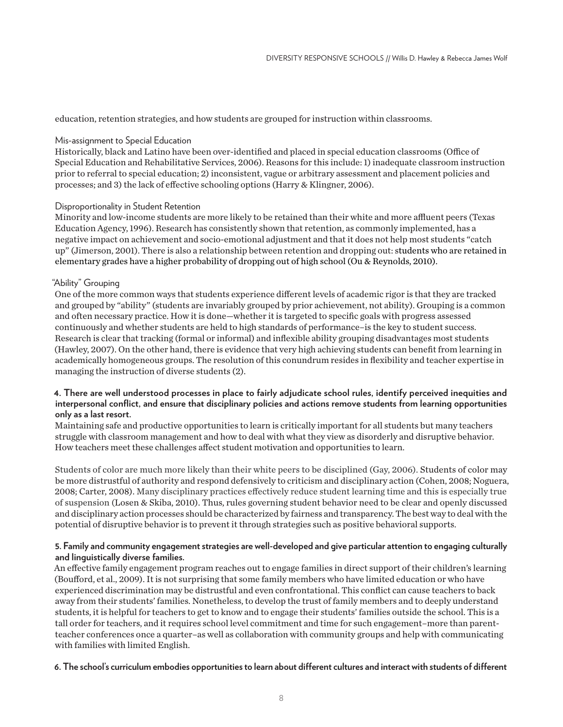education, retention strategies, and how students are grouped for instruction within classrooms.

#### Mis-assignment to Special Education

Historically, black and Latino have been over-identified and placed in special education classrooms (Office of Special Education and Rehabilitative Services, 2006). Reasons for this include: 1) inadequate classroom instruction prior to referral to special education; 2) inconsistent, vague or arbitrary assessment and placement policies and processes; and 3) the lack of effective schooling options (Harry & Klingner, 2006).

#### Disproportionality in Student Retention

Minority and low-income students are more likely to be retained than their white and more affluent peers (Texas Education Agency, 1996). Research has consistently shown that retention, as commonly implemented, has a negative impact on achievement and socio-emotional adjustment and that it does not help most students "catch up" (Jimerson, 2001). There is also a relationship between retention and dropping out: students who are retained in elementary grades have a higher probability of dropping out of high school (Ou & Reynolds, 2010).

#### "Ability" Grouping

One of the more common ways that students experience different levels of academic rigor is that they are tracked and grouped by "ability" (students are invariably grouped by prior achievement, not ability). Grouping is a common and often necessary practice. How it is done—whether it is targeted to specific goals with progress assessed continuously and whether students are held to high standards of performance–is the key to student success. Research is clear that tracking (formal or informal) and inflexible ability grouping disadvantages most students (Hawley, 2007). On the other hand, there is evidence that very high achieving students can benefit from learning in academically homogeneous groups. The resolution of this conundrum resides in flexibility and teacher expertise in managing the instruction of diverse students (2).

# **4. There are well understood processes in place to fairly adjudicate school rules, identify perceived inequities and interpersonal conflict, and ensure that disciplinary policies and actions remove students from learning opportunities only as a last resort.**

Maintaining safe and productive opportunities to learn is critically important for all students but many teachers struggle with classroom management and how to deal with what they view as disorderly and disruptive behavior. How teachers meet these challenges affect student motivation and opportunities to learn.

Students of color are much more likely than their white peers to be disciplined (Gay, 2006). Students of color may be more distrustful of authority and respond defensively to criticism and disciplinary action (Cohen, 2008; Noguera, 2008; Carter, 2008). Many disciplinary practices effectively reduce student learning time and this is especially true of suspension (Losen & Skiba, 2010). Thus, rules governing student behavior need to be clear and openly discussed and disciplinary action processes should be characterized by fairness and transparency. The best way to deal with the potential of disruptive behavior is to prevent it through strategies such as positive behavioral supports.

# **5. Family and community engagement strategies are well-developed and give particular attention to engaging culturally and linguistically diverse families.**

An effective family engagement program reaches out to engage families in direct support of their children's learning (Boufford, et al., 2009). It is not surprising that some family members who have limited education or who have experienced discrimination may be distrustful and even confrontational. This conflict can cause teachers to back away from their students' families. Nonetheless, to develop the trust of family members and to deeply understand students, it is helpful for teachers to get to know and to engage their students' families outside the school. This is a tall order for teachers, and it requires school level commitment and time for such engagement–more than parentteacher conferences once a quarter–as well as collaboration with community groups and help with communicating with families with limited English.

#### **6. The school's curriculum embodies opportunities to learn about different cultures and interact with students of different**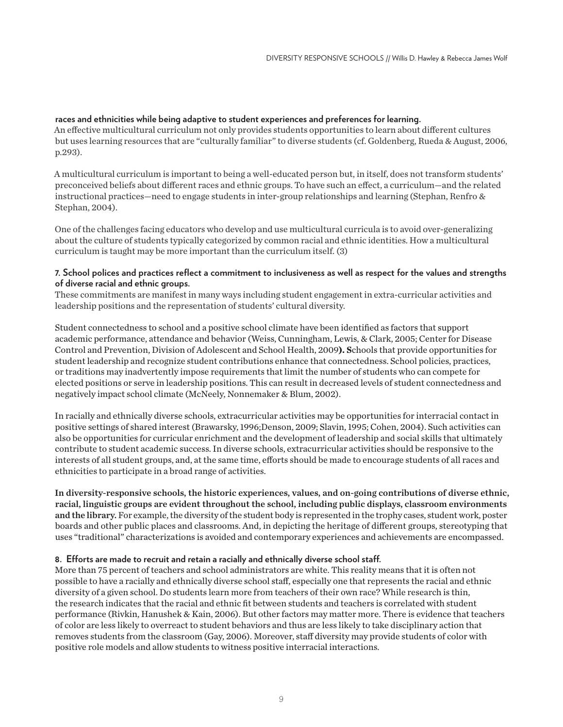### **races and ethnicities while being adaptive to student experiences and preferences for learning.**

An effective multicultural curriculum not only provides students opportunities to learn about different cultures but uses learning resources that are "culturally familiar" to diverse students (cf. Goldenberg, Rueda & August, 2006, p.293).

A multicultural curriculum is important to being a well-educated person but, in itself, does not transform students' preconceived beliefs about different races and ethnic groups. To have such an effect, a curriculum—and the related instructional practices—need to engage students in inter-group relationships and learning (Stephan, Renfro & Stephan, 2004).

One of the challenges facing educators who develop and use multicultural curricula is to avoid over-generalizing about the culture of students typically categorized by common racial and ethnic identities. How a multicultural curriculum is taught may be more important than the curriculum itself. (3)

#### **7. School polices and practices reflect a commitment to inclusiveness as well as respect for the values and strengths of diverse racial and ethnic groups.**

These commitments are manifest in many ways including student engagement in extra-curricular activities and leadership positions and the representation of students' cultural diversity.

Student connectedness to school and a positive school climate have been identified as factors that support academic performance, attendance and behavior (Weiss, Cunningham, Lewis, & Clark, 2005; Center for Disease Control and Prevention, Division of Adolescent and School Health, 2009**). S**chools that provide opportunities for student leadership and recognize student contributions enhance that connectedness. School policies, practices, or traditions may inadvertently impose requirements that limit the number of students who can compete for elected positions or serve in leadership positions. This can result in decreased levels of student connectedness and negatively impact school climate (McNeely, Nonnemaker & Blum, 2002).

In racially and ethnically diverse schools, extracurricular activities may be opportunities for interracial contact in positive settings of shared interest (Brawarsky, 1996;Denson, 2009; Slavin, 1995; Cohen, 2004). Such activities can also be opportunities for curricular enrichment and the development of leadership and social skills that ultimately contribute to student academic success. In diverse schools, extracurricular activities should be responsive to the interests of all student groups, and, at the same time, efforts should be made to encourage students of all races and ethnicities to participate in a broad range of activities.

In diversity-responsive schools, the historic experiences, values, and on-going contributions of diverse ethnic, racial, linguistic groups are evident throughout the school, including public displays, classroom environments and the library. For example, the diversity of the student body is represented in the trophy cases, student work, poster boards and other public places and classrooms. And, in depicting the heritage of different groups, stereotyping that uses "traditional" characterizations is avoided and contemporary experiences and achievements are encompassed.

#### **8. Efforts are made to recruit and retain a racially and ethnically diverse school staff.**

More than 75 percent of teachers and school administrators are white. This reality means that it is often not possible to have a racially and ethnically diverse school staff, especially one that represents the racial and ethnic diversity of a given school. Do students learn more from teachers of their own race? While research is thin, the research indicates that the racial and ethnic fit between students and teachers is correlated with student performance (Rivkin, Hanushek & Kain, 2006). But other factors may matter more. There is evidence that teachers of color are less likely to overreact to student behaviors and thus are less likely to take disciplinary action that removes students from the classroom (Gay, 2006). Moreover, staff diversity may provide students of color with positive role models and allow students to witness positive interracial interactions.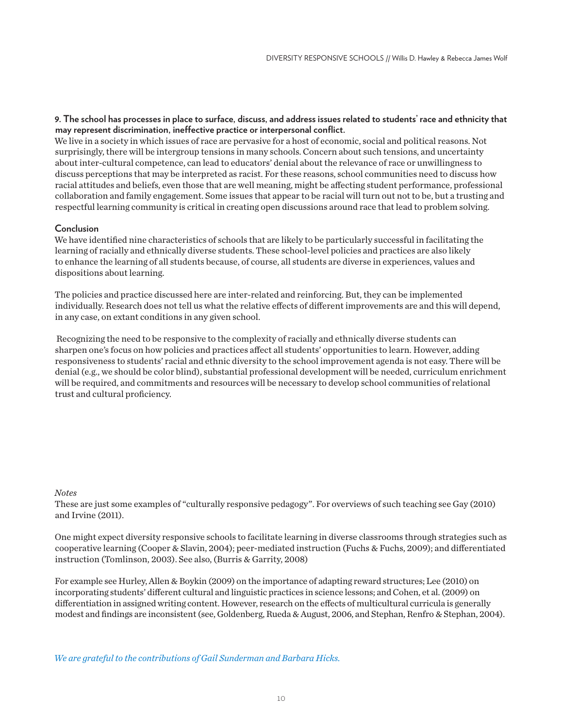#### **9. The school has processes in place to surface, discuss, and address issues related to students' race and ethnicity that may represent discrimination, ineffective practice or interpersonal conflict.**

We live in a society in which issues of race are pervasive for a host of economic, social and political reasons. Not surprisingly, there will be intergroup tensions in many schools. Concern about such tensions, and uncertainty about inter-cultural competence, can lead to educators' denial about the relevance of race or unwillingness to discuss perceptions that may be interpreted as racist. For these reasons, school communities need to discuss how racial attitudes and beliefs, even those that are well meaning, might be affecting student performance, professional collaboration and family engagement. Some issues that appear to be racial will turn out not to be, but a trusting and respectful learning community is critical in creating open discussions around race that lead to problem solving.

# **Conclusion**

We have identified nine characteristics of schools that are likely to be particularly successful in facilitating the learning of racially and ethnically diverse students. These school-level policies and practices are also likely to enhance the learning of all students because, of course, all students are diverse in experiences, values and dispositions about learning.

The policies and practice discussed here are inter-related and reinforcing. But, they can be implemented individually. Research does not tell us what the relative effects of different improvements are and this will depend, in any case, on extant conditions in any given school.

 Recognizing the need to be responsive to the complexity of racially and ethnically diverse students can sharpen one's focus on how policies and practices affect all students' opportunities to learn. However, adding responsiveness to students' racial and ethnic diversity to the school improvement agenda is not easy. There will be denial (e.g., we should be color blind), substantial professional development will be needed, curriculum enrichment will be required, and commitments and resources will be necessary to develop school communities of relational trust and cultural proficiency.

#### *Notes*

These are just some examples of "culturally responsive pedagogy". For overviews of such teaching see Gay (2010) and Irvine (2011).

One might expect diversity responsive schools to facilitate learning in diverse classrooms through strategies such as cooperative learning (Cooper & Slavin, 2004); peer-mediated instruction (Fuchs & Fuchs, 2009); and differentiated instruction (Tomlinson, 2003). See also, (Burris & Garrity, 2008)

For example see Hurley, Allen & Boykin (2009) on the importance of adapting reward structures; Lee (2010) on incorporating students' different cultural and linguistic practices in science lessons; and Cohen, et al. (2009) on differentiation in assigned writing content. However, research on the effects of multicultural curricula is generally modest and findings are inconsistent (see, Goldenberg, Rueda & August, 2006, and Stephan, Renfro & Stephan, 2004).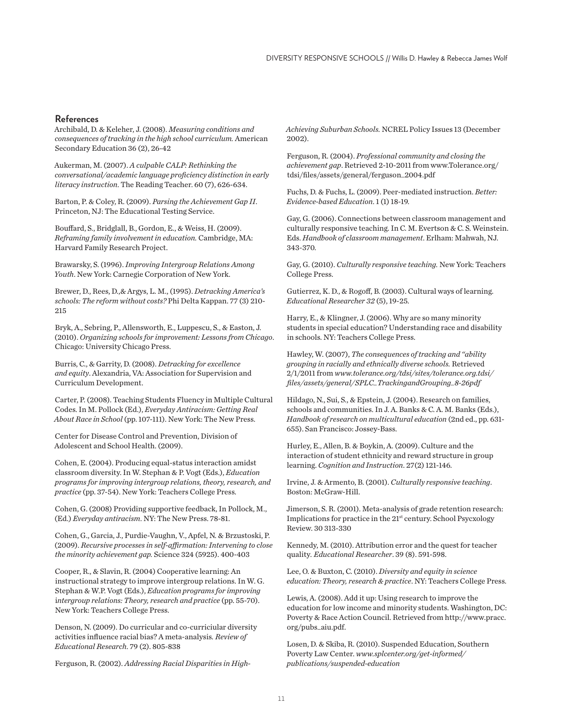#### **References**

Archibald, D. & Keleher, J. (2008). *Measuring conditions and consequences of tracking in the high school curriculum.* American Secondary Education 36 (2), 26-42

Aukerman, M. (2007). *A culpable CALP: Rethinking the conversational/academic language proficiency distinction in early literacy instruction*. The Reading Teacher. 60 (7), 626-634.

Barton, P. & Coley, R. (2009). *Parsing the Achievement Gap II*. Princeton, NJ: The Educational Testing Service.

Bouffard, S., Bridglall, B., Gordon, E., & Weiss, H. (2009). *Reframing family involvement in education.* Cambridge, MA: Harvard Family Research Project.

Brawarsky, S. (1996). *Improving Intergroup Relations Among Youth*. New York: Carnegie Corporation of New York.

Brewer, D., Rees, D.,& Argys, L. M., (1995). *Detracking America's schools: The reform without costs?* Phi Delta Kappan. 77 (3) 210- 215

Bryk, A., Sebring, P., Allensworth, E., Luppescu, S., & Easton, J. (2010). *Organizing schools for improvement: Lessons from Chicago*. Chicago: University Chicago Press.

Burris, C., & Garrity, D. (2008). *Detracking for excellence and equity*. Alexandria, VA: Association for Supervision and Curriculum Development.

Carter, P. (2008). Teaching Students Fluency in Multiple Cultural Codes. In M. Pollock (Ed.), *Everyday Antiracism: Getting Real About Race in School* (pp. 107-111). New York: The New Press.

Center for Disease Control and Prevention, Division of Adolescent and School Health. (2009).

Cohen, E. (2004). Producing equal-status interaction amidst classroom diversity. In W. Stephan & P. Vogt (Eds.), *Education programs for improving intergroup relations, theory, research, and practice* (pp. 37-54). New York: Teachers College Press.

Cohen, G. (2008) Providing supportive feedback, In Pollock, M., (Ed.) *Everyday antiracism*. NY: The New Press. 78-81.

Cohen, G., Garcia, J., Purdie-Vaughn, V., Apfel, N. & Brzustoski, P. (2009). *Recursive processes in self-affirmation: Intervening to close the minority achievement gap.* Science 324 (5925). 400-403

Cooper, R., & Slavin, R. (2004) Cooperative learning: An instructional strategy to improve intergroup relations. In W. G. Stephan & W.P. Vogt (Eds.), *Education programs for improving*  i*ntergroup relations: Theory, research and practice* (pp. 55-70). New York: Teachers College Press.

Denson, N. (2009). Do curricular and co-curriciular diversity activities influence racial bias? A meta-analysis*. Review of Educational Research*. 79 (2). 805-838

Ferguson, R. (2002). *Addressing Racial Disparities in High-*

*Achieving Suburban Schools.* NCREL Policy Issues 13 (December 2002).

Ferguson, R. (2004). *Professional community and closing the achievement gap*. Retrieved 2-10-2011 from www.Tolerance.org/ tdsi/files/assets/general/ferguson\_2004.pdf

Fuchs, D. & Fuchs, L. (2009). Peer-mediated instruction. *Better: Evidence-based Education*. 1 (1) 18-19.

Gay, G. (2006). Connections between classroom management and culturally responsive teaching. In C. M. Evertson & C. S. Weinstein. Eds. *Handbook of classroom management*. Erlham: Mahwah, NJ. 343-370.

Gay, G. (2010). *Culturally responsive teaching.* New York: Teachers College Press.

Gutierrez, K. D., & Rogoff, B. (2003). Cultural ways of learning. *Educational Researcher 32* (5), 19-25.

Harry, E., & Klingner, J. (2006). Why are so many minority students in special education? Understanding race and disability in schools. NY: Teachers College Press.

Hawley, W. (2007), *The consequences of tracking and "ability grouping in racially and ethnically diverse schools.* Retrieved 2/1/2011 from *[www.tolerance.org/tdsi/sites/tolerance.org.tdsi/](http://www.tolerance.org/tdsi/sites/tolerance.org.tdsi/files/assets/general/SPLC_TrackingandGrouping_8-26pdf) [files/assets/general/SPLC\\_TrackingandGrouping\\_8-26pdf](http://www.tolerance.org/tdsi/sites/tolerance.org.tdsi/files/assets/general/SPLC_TrackingandGrouping_8-26pdf)* 

Hildago, N., Sui, S., & Epstein, J. (2004). Research on families, schools and communities. In J. A. Banks & C. A. M. Banks (Eds.), *Handbook of research on multicultural education* (2nd ed., pp. 631- 655). San Francisco: Jossey-Bass.

Hurley, E., Allen, B. & Boykin, A. (2009). Culture and the interaction of student ethnicity and reward structure in group learning. *Cognition and Instruction*. 27(2) 121-146.

Irvine, J. & Armento, B. (2001). *Culturally responsive teaching*. Boston: McGraw-Hill.

Jimerson, S. R. (2001). Meta-analysis of grade retention research: Implications for practice in the 21<sup>st</sup> century. School Psycxology Review. 30 313-330

Kennedy, M. (2010). Attribution error and the quest for teacher quality*. Educational Researcher*. 39 (8). 591-598.

Lee, O. & Buxton, C. (2010). *Diversity and equity in science education: Theory, research & practice*. NY: Teachers College Press.

Lewis, A. (2008). Add it up: Using research to improve the education for low income and minority students. Washington, DC: Poverty & Race Action Council. Retrieved from http://www.pracc. org/pubs\_aiu.pdf.

Losen, D. & Skiba, R. (2010). Suspended Education, Southern Poverty Law Center. *[www.splcenter.org/get-informed/](http://www.splcenter.org/get-informed/publications/suspended-education) [publications/suspended-education](http://www.splcenter.org/get-informed/publications/suspended-education)*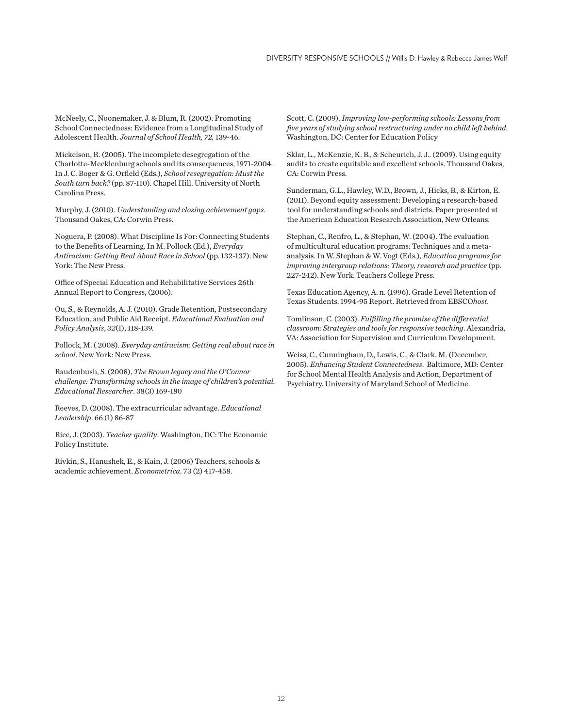McNeely, C., Noonemaker, J. & Blum, R. (2002). Promoting School Connectedness: Evidence from a Longitudinal Study of Adolescent Health. *Journal of School Health, 72,* 139-46.

Mickelson, R. (2005). The incomplete desegregation of the Charlotte-Mecklenburg schools and its consequences, 1971-2004. In J. C. Boger & G. Orfield (Eds.), *School resegregation: Must the South turn back?* (pp. 87-110). Chapel Hill. University of North Carolina Press.

Murphy, J. (2010). *Understanding and closing achievement gaps*. Thousand Oakes, CA: Corwin Press.

Noguera, P. (2008). What Discipline Is For: Connecting Students to the Benefits of Learning. In M. Pollock (Ed.), *Everyday Antiracism: Getting Real About Race in School* (pp. 132-137). New York: The New Press.

Office of Special Education and Rehabilitative Services 26th Annual Report to Congress, (2006).

Ou, S., & Reynolds, A. J. (2010). Grade Retention, Postsecondary Education, and Public Aid Receipt. *Educational Evaluation and Policy Analysis*, *32*(1), 118-139.

Pollock, M. ( 2008). *Everyday antiracism: Getting real about race in school*. New York: New Press.

Raudenbush, S. (2008), *The Brown legacy and the O'Connor challenge: Transforming schools in the image of children's potential. Educational Researcher*. 38(3) 169-180

Reeves, D. (2008). The extracurricular advantage. *Educational Leadership*. 66 (1) 86-87

Rice, J. (2003). *Teacher quality*. Washington, DC: The Economic Policy Institute.

Rivkin, S., Hanushek, E., & Kain, J. (2006) Teachers, schools & academic achievement. *Econometrica*. 73 (2) 417-458.

Scott, C. (2009). *Improving low-performing schools: Lessons from five years of studying school restructuring under no child left behind*. Washington, DC: Center for Education Policy

Sklar, L., McKenzie, K. B., & Scheurich, J. J.. (2009). Using equity audits to create equitable and excellent schools. Thousand Oakes, CA: Corwin Press.

Sunderman, G.L., Hawley, W.D., Brown, J., Hicks, B., & Kirton, E. (2011). Beyond equity assessment: Developing a research-based tool for understanding schools and districts. Paper presented at the American Education Research Association, New Orleans.

Stephan, C., Renfro, L., & Stephan, W. (2004). The evaluation of multicultural education programs: Techniques and a metaanalysis. In W. Stephan & W. Vogt (Eds.), *Education programs for improving intergroup relations: Theory, research and practice* (pp. 227-242). New York: Teachers College Press.

Texas Education Agency, A. n. (1996). Grade Level Retention of Texas Students. 1994-95 Report. Retrieved from EBSCO*host*.

Tomlinson, C. (2003). *Fulfilling the promise of the differential classroom: Strategies and tools for responsive teaching*. Alexandria, VA: Association for Supervision and Curriculum Development.

Weiss, C., Cunningham, D., Lewis, C., & Clark, M. (December, 2005). *Enhancing Student Connectedness*. Baltimore, MD: Center for School Mental Health Analysis and Action, Department of Psychiatry, University of Maryland School of Medicine.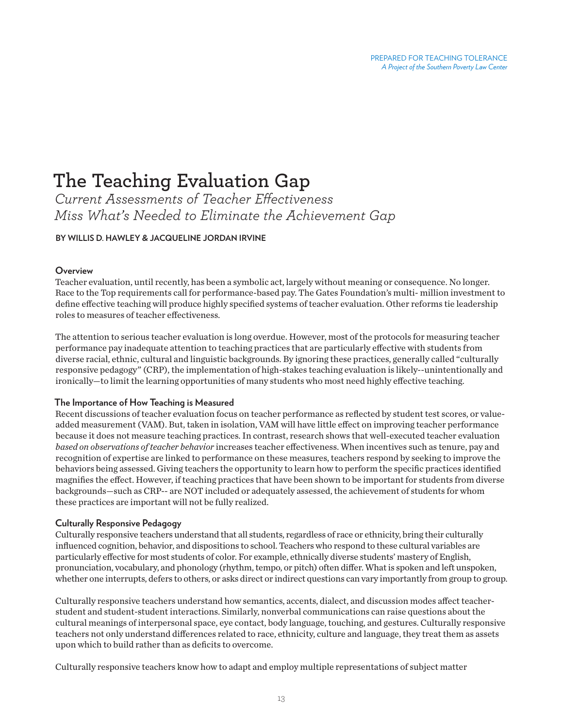# **The Teaching Evaluation Gap**

*Current Assessments of Teacher Effectiveness Miss What's Needed to Eliminate the Achievement Gap*

# **BY WILLIS D. HAWLEY & JACQUELINE JORDAN IRVINE**

# **Overview**

Teacher evaluation, until recently, has been a symbolic act, largely without meaning or consequence. No longer. Race to the Top requirements call for performance-based pay. The Gates Foundation's multi- million investment to define effective teaching will produce highly specified systems of teacher evaluation. Other reforms tie leadership roles to measures of teacher effectiveness.

The attention to serious teacher evaluation is long overdue. However, most of the protocols for measuring teacher performance pay inadequate attention to teaching practices that are particularly effective with students from diverse racial, ethnic, cultural and linguistic backgrounds. By ignoring these practices, generally called "culturally responsive pedagogy" (CRP), the implementation of high-stakes teaching evaluation is likely--unintentionally and ironically—to limit the learning opportunities of many students who most need highly effective teaching.

#### **The Importance of How Teaching is Measured**

Recent discussions of teacher evaluation focus on teacher performance as reflected by student test scores, or valueadded measurement (VAM). But, taken in isolation, VAM will have little effect on improving teacher performance because it does not measure teaching practices. In contrast, research shows that well-executed teacher evaluation *based on observations of teacher behavior* increases teacher effectiveness. When incentives such as tenure, pay and recognition of expertise are linked to performance on these measures, teachers respond by seeking to improve the behaviors being assessed. Giving teachers the opportunity to learn how to perform the specific practices identified magnifies the effect. However, if teaching practices that have been shown to be important for students from diverse backgrounds—such as CRP-- are NOT included or adequately assessed, the achievement of students for whom these practices are important will not be fully realized.

# **Culturally Responsive Pedagogy**

Culturally responsive teachers understand that all students, regardless of race or ethnicity, bring their culturally influenced cognition, behavior, and dispositions to school. Teachers who respond to these cultural variables are particularly effective for most students of color. For example, ethnically diverse students' mastery of English, pronunciation, vocabulary, and phonology (rhythm, tempo, or pitch) often differ. What is spoken and left unspoken, whether one interrupts, defers to others, or asks direct or indirect questions can vary importantly from group to group.

Culturally responsive teachers understand how semantics, accents, dialect, and discussion modes affect teacherstudent and student-student interactions. Similarly, nonverbal communications can raise questions about the cultural meanings of interpersonal space, eye contact, body language, touching, and gestures. Culturally responsive teachers not only understand differences related to race, ethnicity, culture and language, they treat them as assets upon which to build rather than as deficits to overcome.

Culturally responsive teachers know how to adapt and employ multiple representations of subject matter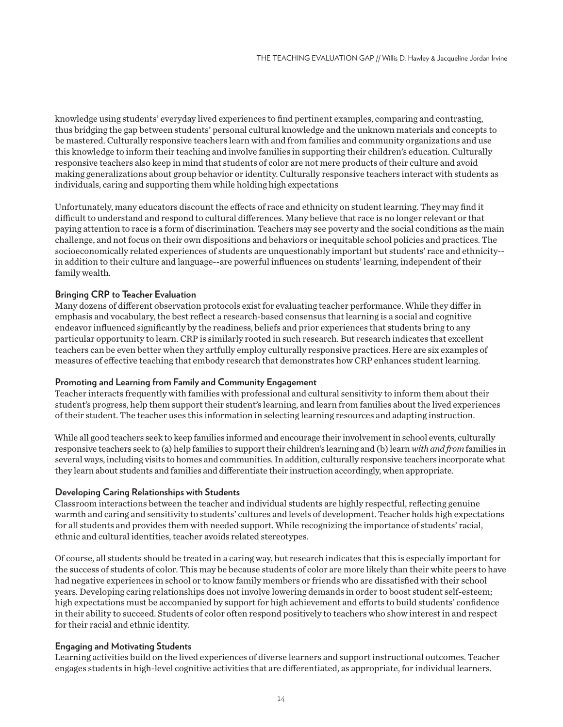knowledge using students' everyday lived experiences to find pertinent examples, comparing and contrasting, thus bridging the gap between students' personal cultural knowledge and the unknown materials and concepts to be mastered. Culturally responsive teachers learn with and from families and community organizations and use this knowledge to inform their teaching and involve families in supporting their children's education. Culturally responsive teachers also keep in mind that students of color are not mere products of their culture and avoid making generalizations about group behavior or identity. Culturally responsive teachers interact with students as individuals, caring and supporting them while holding high expectations

Unfortunately, many educators discount the effects of race and ethnicity on student learning. They may find it difficult to understand and respond to cultural differences. Many believe that race is no longer relevant or that paying attention to race is a form of discrimination. Teachers may see poverty and the social conditions as the main challenge, and not focus on their own dispositions and behaviors or inequitable school policies and practices. The socioeconomically related experiences of students are unquestionably important but students' race and ethnicity- in addition to their culture and language--are powerful influences on students' learning, independent of their family wealth.

# **Bringing CRP to Teacher Evaluation**

Many dozens of different observation protocols exist for evaluating teacher performance. While they differ in emphasis and vocabulary, the best reflect a research-based consensus that learning is a social and cognitive endeavor influenced significantly by the readiness, beliefs and prior experiences that students bring to any particular opportunity to learn. CRP is similarly rooted in such research. But research indicates that excellent teachers can be even better when they artfully employ culturally responsive practices. Here are six examples of measures of effective teaching that embody research that demonstrates how CRP enhances student learning.

#### **Promoting and Learning from Family and Community Engagement**

Teacher interacts frequently with families with professional and cultural sensitivity to inform them about their student's progress, help them support their student's learning, and learn from families about the lived experiences of their student. The teacher uses this information in selecting learning resources and adapting instruction.

While all good teachers seek to keep families informed and encourage their involvement in school events, culturally responsive teachers seek to (a) help families to support their children's learning and (b) learn *with and from* families in several ways, including visits to homes and communities. In addition, culturally responsive teachers incorporate what they learn about students and families and differentiate their instruction accordingly, when appropriate.

#### **Developing Caring Relationships with Students**

Classroom interactions between the teacher and individual students are highly respectful, reflecting genuine warmth and caring and sensitivity to students' cultures and levels of development. Teacher holds high expectations for all students and provides them with needed support. While recognizing the importance of students' racial, ethnic and cultural identities, teacher avoids related stereotypes.

Of course, all students should be treated in a caring way, but research indicates that this is especially important for the success of students of color. This may be because students of color are more likely than their white peers to have had negative experiences in school or to know family members or friends who are dissatisfied with their school years. Developing caring relationships does not involve lowering demands in order to boost student self-esteem; high expectations must be accompanied by support for high achievement and efforts to build students' confidence in their ability to succeed. Students of color often respond positively to teachers who show interest in and respect for their racial and ethnic identity.

#### **Engaging and Motivating Students**

Learning activities build on the lived experiences of diverse learners and support instructional outcomes. Teacher engages students in high-level cognitive activities that are differentiated, as appropriate, for individual learners.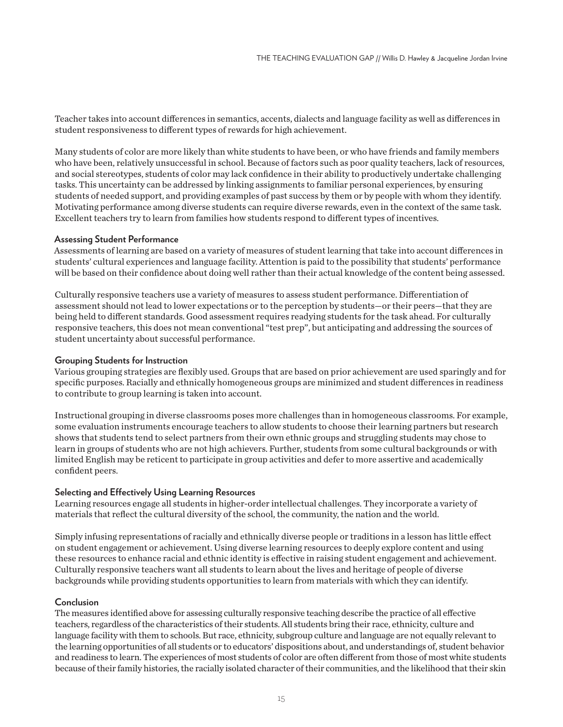Teacher takes into account differences in semantics, accents, dialects and language facility as well as differences in student responsiveness to different types of rewards for high achievement.

Many students of color are more likely than white students to have been, or who have friends and family members who have been, relatively unsuccessful in school. Because of factors such as poor quality teachers, lack of resources, and social stereotypes, students of color may lack confidence in their ability to productively undertake challenging tasks. This uncertainty can be addressed by linking assignments to familiar personal experiences, by ensuring students of needed support, and providing examples of past success by them or by people with whom they identify. Motivating performance among diverse students can require diverse rewards, even in the context of the same task. Excellent teachers try to learn from families how students respond to different types of incentives.

#### **Assessing Student Performance**

Assessments of learning are based on a variety of measures of student learning that take into account differences in students' cultural experiences and language facility. Attention is paid to the possibility that students' performance will be based on their confidence about doing well rather than their actual knowledge of the content being assessed.

Culturally responsive teachers use a variety of measures to assess student performance. Differentiation of assessment should not lead to lower expectations or to the perception by students—or their peers—that they are being held to different standards. Good assessment requires readying students for the task ahead. For culturally responsive teachers, this does not mean conventional "test prep", but anticipating and addressing the sources of student uncertainty about successful performance.

#### **Grouping Students for Instruction**

Various grouping strategies are flexibly used. Groups that are based on prior achievement are used sparingly and for specific purposes. Racially and ethnically homogeneous groups are minimized and student differences in readiness to contribute to group learning is taken into account.

Instructional grouping in diverse classrooms poses more challenges than in homogeneous classrooms. For example, some evaluation instruments encourage teachers to allow students to choose their learning partners but research shows that students tend to select partners from their own ethnic groups and struggling students may chose to learn in groups of students who are not high achievers. Further, students from some cultural backgrounds or with limited English may be reticent to participate in group activities and defer to more assertive and academically confident peers.

#### **Selecting and Effectively Using Learning Resources**

Learning resources engage all students in higher-order intellectual challenges. They incorporate a variety of materials that reflect the cultural diversity of the school, the community, the nation and the world.

Simply infusing representations of racially and ethnically diverse people or traditions in a lesson has little effect on student engagement or achievement. Using diverse learning resources to deeply explore content and using these resources to enhance racial and ethnic identity is effective in raising student engagement and achievement. Culturally responsive teachers want all students to learn about the lives and heritage of people of diverse backgrounds while providing students opportunities to learn from materials with which they can identify.

#### **Conclusion**

The measures identified above for assessing culturally responsive teaching describe the practice of all effective teachers, regardless of the characteristics of their students. All students bring their race, ethnicity, culture and language facility with them to schools. But race, ethnicity, subgroup culture and language are not equally relevant to the learning opportunities of all students or to educators' dispositions about, and understandings of, student behavior and readiness to learn. The experiences of most students of color are often different from those of most white students because of their family histories, the racially isolated character of their communities, and the likelihood that their skin